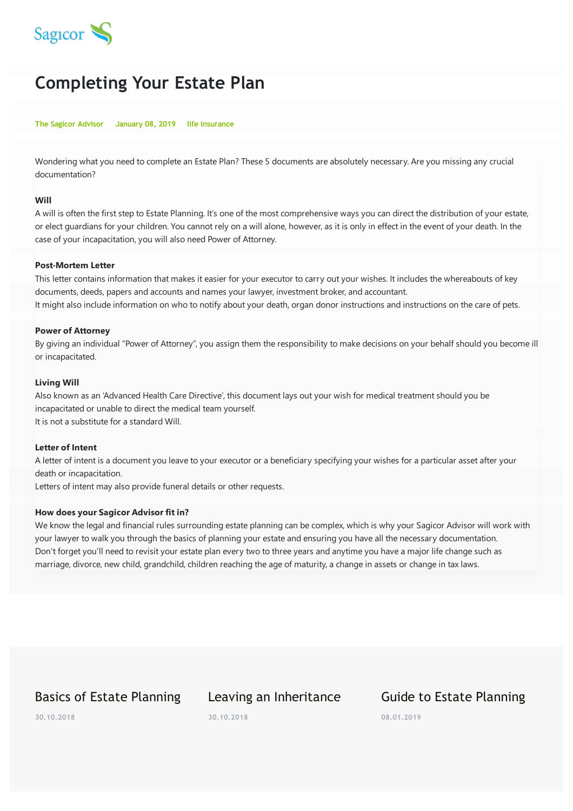

# **Completing Your Estate Plan**

#### **The Sagicor Advisor January 08, 2019 life insurance**

Wondering what you need to complete an Estate Plan? These 5 documents are absolutely necessary. Are you missing any crucial documentation?

#### **Will**

A will is often the first step to Estate Planning. It's one of the most comprehensive ways you can direct the distribution of your estate, or elect guardians for your children. You cannot rely on a will alone, however, as it is only in effect in the event of your death. In the case of your incapacitation, you will also need Power of Attorney.

#### **Post-Mortem Letter**

This letter contains information that makes it easier for your executor to carry out your wishes. It includes the whereabouts of key documents, deeds, papers and accounts and names your lawyer, investment broker, and accountant. It might also include information on who to notify about your death, organ donor instructions and instructions on the care of pets.

#### **Power of Attorney**

By giving an individual "Power of Attorney", you assign them the responsibility to make decisions on your behalf should you become ill or incapacitated.

#### **Living Will**

Also known as an 'Advanced Health Care Directive', this document lays out your wish for medical treatment should you be incapacitated or unable to direct the medical team yourself. It is not a substitute for a standard Will.

### **Letter of Intent**

A letter of intent is a document you leave to your executor or a beneficiary specifying your wishes for a particular asset after your death or incapacitation.

Letters of intent may also provide funeral details or other requests.

### **How does your Sagicor Advisor fit in?**

We know the legal and financial rules surrounding estate planning can be complex, which is why your Sagicor Advisor will work with your lawyer to walk you through the basics of planning your estate and ensuring you have all the necessary documentation. Don't forget you'll need to revisit your estate plan every two to three years and anytime you have a major life change such as marriage, divorce, new child, grandchild, children reaching the age of maturity, a change in assets or change in tax laws.

## Basics of Estate Planning

# Leaving an Inheritance

## Guide to Estate Planning

**30.10.2018**

**30.10.2018**

**08.01.2019**